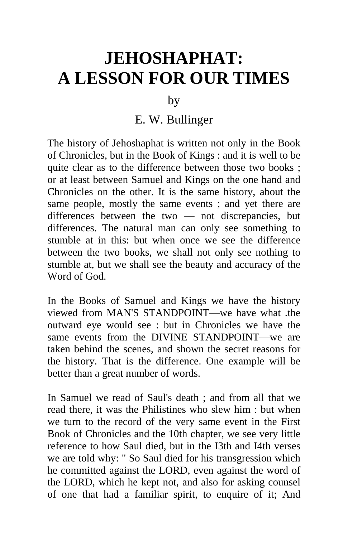## **JEHOSHAPHAT: A LESSON FOR OUR TIMES**

by

## E. W. Bullinger

The history of Jehoshaphat is written not only in the Book of Chronicles, but in the Book of Kings : and it is well to be quite clear as to the difference between those two books ; or at least between Samuel and Kings on the one hand and Chronicles on the other. It is the same history, about the same people, mostly the same events ; and yet there are differences between the two — not discrepancies, but differences. The natural man can only see something to stumble at in this: but when once we see the difference between the two books, we shall not only see nothing to stumble at, but we shall see the beauty and accuracy of the Word of God.

In the Books of Samuel and Kings we have the history viewed from MAN'S STANDPOINT—we have what .the outward eye would see : but in Chronicles we have the same events from the DIVINE STANDPOINT—we are taken behind the scenes, and shown the secret reasons for the history. That is the difference. One example will be better than a great number of words.

In Samuel we read of Saul's death ; and from all that we read there, it was the Philistines who slew him : but when we turn to the record of the very same event in the First Book of Chronicles and the 10th chapter, we see very little reference to how Saul died, but in the I3th and I4th verses we are told why: " So Saul died for his transgression which he committed against the LORD, even against the word of the LORD, which he kept not, and also for asking counsel of one that had a familiar spirit, to enquire of it; And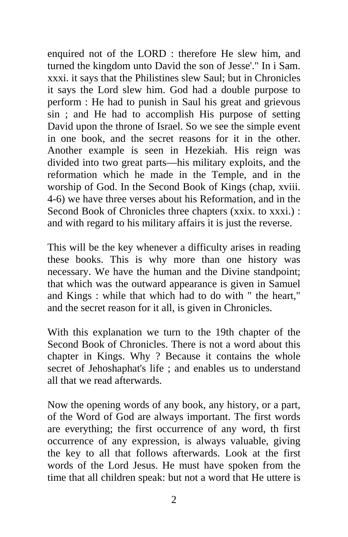enquired not of the LORD : therefore He slew him, and turned the kingdom unto David the son of Jesse'." In i Sam. xxxi. it says that the Philistines slew Saul; but in Chronicles it says the Lord slew him. God had a double purpose to perform : He had to punish in Saul his great and grievous sin ; and He had to accomplish His purpose of setting David upon the throne of Israel. So we see the simple event in one book, and the secret reasons for it in the other. Another example is seen in Hezekiah. His reign was divided into two great parts—his military exploits, and the reformation which he made in the Temple, and in the worship of God. In the Second Book of Kings (chap, xviii. 4-6) we have three verses about his Reformation, and in the Second Book of Chronicles three chapters (xxix. to xxxi.) : and with regard to his military affairs it is just the reverse.

This will be the key whenever a difficulty arises in reading these books. This is why more than one history was necessary. We have the human and the Divine standpoint; that which was the outward appearance is given in Samuel and Kings : while that which had to do with " the heart," and the secret reason for it all, is given in Chronicles.

With this explanation we turn to the 19th chapter of the Second Book of Chronicles. There is not a word about this chapter in Kings. Why ? Because it contains the whole secret of Jehoshaphat's life ; and enables us to understand all that we read afterwards.

Now the opening words of any book, any history, or a part, of the Word of God are always important. The first words are everything; the first occurrence of any word, th first occurrence of any expression, is always valuable, giving the key to all that follows afterwards. Look at the first words of the Lord Jesus. He must have spoken from the time that all children speak: but not a word that He uttere is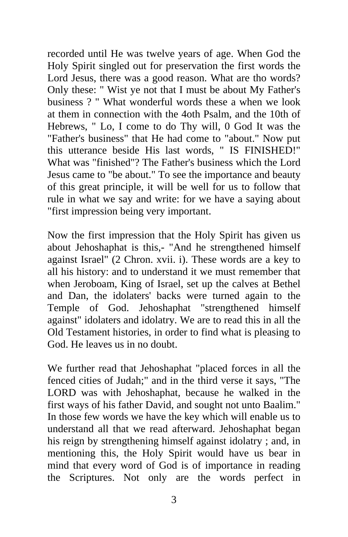recorded until He was twelve years of age. When God the Holy Spirit singled out for preservation the first words the Lord Jesus, there was a good reason. What are tho words? Only these: " Wist ye not that I must be about My Father's business ? " What wonderful words these a when we look at them in connection with the 4oth Psalm, and the 10th of Hebrews, " Lo, I come to do Thy will, 0 God It was the "Father's business" that He had come to "about." Now put this utterance beside His last words, " IS FINISHED!" What was "finished"? The Father's business which the Lord Jesus came to "be about." To see the importance and beauty of this great principle, it will be well for us to follow that rule in what we say and write: for we have a saying about "first impression being very important.

Now the first impression that the Holy Spirit has given us about Jehoshaphat is this,- "And he strengthened himself against Israel" (2 Chron. xvii. i). These words are a key to all his history: and to understand it we must remember that when Jeroboam, King of Israel, set up the calves at Bethel and Dan, the idolaters' backs were turned again to the Temple of God. Jehoshaphat "strengthened himself against" idolaters and idolatry. We are to read this in all the Old Testament histories, in order to find what is pleasing to God. He leaves us in no doubt.

We further read that Jehoshaphat "placed forces in all the fenced cities of Judah;" and in the third verse it says, "The LORD was with Jehoshaphat, because he walked in the first ways of his father David, and sought not unto Baalim." In those few words we have the key which will enable us to understand all that we read afterward. Jehoshaphat began his reign by strengthening himself against idolatry ; and, in mentioning this, the Holy Spirit would have us bear in mind that every word of God is of importance in reading the Scriptures. Not only are the words perfect in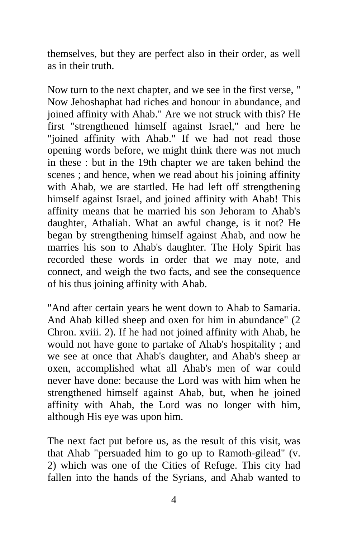themselves, but they are perfect also in their order, as well as in their truth.

Now turn to the next chapter, and we see in the first verse, " Now Jehoshaphat had riches and honour in abundance, and joined affinity with Ahab." Are we not struck with this? He first "strengthened himself against Israel," and here he "joined affinity with Ahab." If we had not read those opening words before, we might think there was not much in these : but in the 19th chapter we are taken behind the scenes ; and hence, when we read about his joining affinity with Ahab, we are startled. He had left off strengthening himself against Israel, and joined affinity with Ahab! This affinity means that he married his son Jehoram to Ahab's daughter, Athaliah. What an awful change, is it not? He began by strengthening himself against Ahab, and now he marries his son to Ahab's daughter. The Holy Spirit has recorded these words in order that we may note, and connect, and weigh the two facts, and see the consequence of his thus joining affinity with Ahab.

"And after certain years he went down to Ahab to Samaria. And Ahab killed sheep and oxen for him in abundance" (2 Chron. xviii. 2). If he had not joined affinity with Ahab, he would not have gone to partake of Ahab's hospitality ; and we see at once that Ahab's daughter, and Ahab's sheep ar oxen, accomplished what all Ahab's men of war could never have done: because the Lord was with him when he strengthened himself against Ahab, but, when he joined affinity with Ahab, the Lord was no longer with him, although His eye was upon him.

The next fact put before us, as the result of this visit, was that Ahab "persuaded him to go up to Ramoth-gilead" (v. 2) which was one of the Cities of Refuge. This city had fallen into the hands of the Syrians, and Ahab wanted to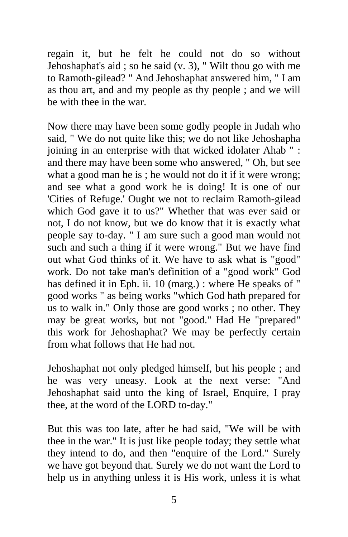regain it, but he felt he could not do so without Jehoshaphat's aid ; so he said (v. 3), " Wilt thou go with me to Ramoth-gilead? " And Jehoshaphat answered him, " I am as thou art, and and my people as thy people ; and we will be with thee in the war.

Now there may have been some godly people in Judah who said, " We do not quite like this; we do not like Jehoshapha joining in an enterprise with that wicked idolater Ahab " : and there may have been some who answered, " Oh, but see what a good man he is; he would not do it if it were wrong; and see what a good work he is doing! It is one of our 'Cities of Refuge.' Ought we not to reclaim Ramoth-gilead which God gave it to us?" Whether that was ever said or not, I do not know, but we do know that it is exactly what people say to-day. " I am sure such a good man would not such and such a thing if it were wrong." But we have find out what God thinks of it. We have to ask what is "good" work. Do not take man's definition of a "good work" God has defined it in Eph. ii. 10 (marg.) : where He speaks of " good works " as being works "which God hath prepared for us to walk in." Only those are good works ; no other. They may be great works, but not "good." Had He "prepared" this work for Jehoshaphat? We may be perfectly certain from what follows that He had not.

Jehoshaphat not only pledged himself, but his people ; and he was very uneasy. Look at the next verse: "And Jehoshaphat said unto the king of Israel, Enquire, I pray thee, at the word of the LORD to-day."

But this was too late, after he had said, "We will be with thee in the war." It is just like people today; they settle what they intend to do, and then "enquire of the Lord." Surely we have got beyond that. Surely we do not want the Lord to help us in anything unless it is His work, unless it is what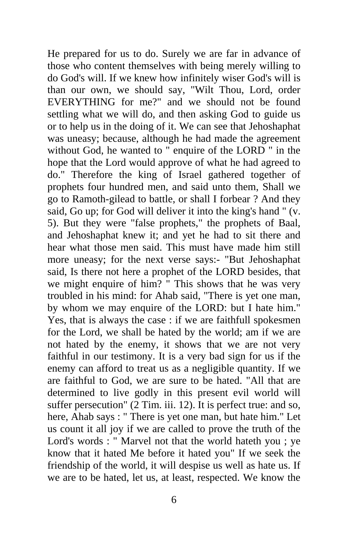He prepared for us to do. Surely we are far in advance of those who content themselves with being merely willing to do God's will. If we knew how infinitely wiser God's will is than our own, we should say, "Wilt Thou, Lord, order EVERYTHING for me?" and we should not be found settling what we will do, and then asking God to guide us or to help us in the doing of it. We can see that Jehoshaphat was uneasy; because, although he had made the agreement without God, he wanted to " enquire of the LORD " in the hope that the Lord would approve of what he had agreed to do." Therefore the king of Israel gathered together of prophets four hundred men, and said unto them, Shall we go to Ramoth-gilead to battle, or shall I forbear ? And they said, Go up; for God will deliver it into the king's hand " (v. 5). But they were "false prophets," the prophets of Baal, and Jehoshaphat knew it; and yet he had to sit there and hear what those men said. This must have made him still more uneasy; for the next verse says:- "But Jehoshaphat said, Is there not here a prophet of the LORD besides, that we might enquire of him? " This shows that he was very troubled in his mind: for Ahab said, "There is yet one man, by whom we may enquire of the LORD: but I hate him." Yes, that is always the case : if we are faithfull spokesmen for the Lord, we shall be hated by the world; am if we are not hated by the enemy, it shows that we are not very faithful in our testimony. It is a very bad sign for us if the enemy can afford to treat us as a negligible quantity. If we are faithful to God, we are sure to be hated. "All that are determined to live godly in this present evil world will suffer persecution" (2 Tim. iii. 12). It is perfect true: and so, here, Ahab says : " There is yet one man, but hate him." Let us count it all joy if we are called to prove the truth of the Lord's words : " Marvel not that the world hateth you ; ye know that it hated Me before it hated you" If we seek the friendship of the world, it will despise us well as hate us. If we are to be hated, let us, at least, respected. We know the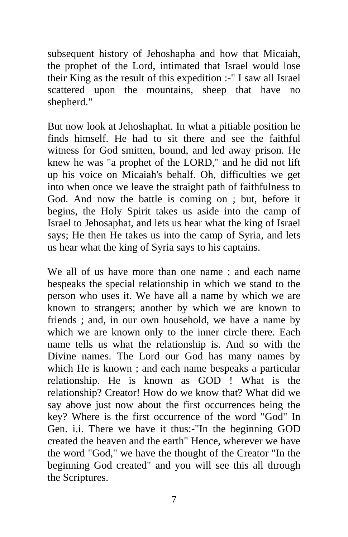subsequent history of Jehoshapha and how that Micaiah, the prophet of the Lord, intimated that Israel would lose their King as the result of this expedition :-" I saw all Israel scattered upon the mountains, sheep that have no shepherd."

But now look at Jehoshaphat. In what a pitiable position he finds himself. He had to sit there and see the faithful witness for God smitten, bound, and led away prison. He knew he was "a prophet of the LORD," and he did not lift up his voice on Micaiah's behalf. Oh, difficulties we get into when once we leave the straight path of faithfulness to God. And now the battle is coming on ; but, before it begins, the Holy Spirit takes us aside into the camp of Israel to Jehosaphat, and lets us hear what the king of Israel says; He then He takes us into the camp of Syria, and lets us hear what the king of Syria says to his captains.

We all of us have more than one name ; and each name bespeaks the special relationship in which we stand to the person who uses it. We have all a name by which we are known to strangers; another by which we are known to friends ; and, in our own household, we have a name by which we are known only to the inner circle there. Each name tells us what the relationship is. And so with the Divine names. The Lord our God has many names by which He is known ; and each name bespeaks a particular relationship. He is known as GOD ! What is the relationship? Creator! How do we know that? What did we say above just now about the first occurrences being the key? Where is the first occurrence of the word "God" In Gen. i.i. There we have it thus:-"In the beginning GOD created the heaven and the earth" Hence, wherever we have the word "God," we have the thought of the Creator "In the beginning God created" and you will see this all through the Scriptures.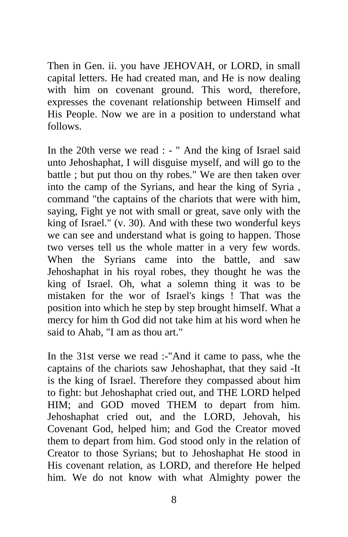Then in Gen. ii. you have JEHOVAH, or LORD, in small capital letters. He had created man, and He is now dealing with him on covenant ground. This word, therefore, expresses the covenant relationship between Himself and His People. Now we are in a position to understand what follows.

In the 20th verse we read : - " And the king of Israel said unto Jehoshaphat, I will disguise myself, and will go to the battle ; but put thou on thy robes." We are then taken over into the camp of the Syrians, and hear the king of Syria , command "the captains of the chariots that were with him, saying, Fight ye not with small or great, save only with the king of Israel." (v. 30). And with these two wonderful keys we can see and understand what is going to happen. Those two verses tell us the whole matter in a very few words. When the Syrians came into the battle, and saw Jehoshaphat in his royal robes, they thought he was the king of Israel. Oh, what a solemn thing it was to be mistaken for the wor of Israel's kings ! That was the position into which he step by step brought himself. What a mercy for him th God did not take him at his word when he said to Ahab, "I am as thou art."

In the 31st verse we read :-"And it came to pass, whe the captains of the chariots saw Jehoshaphat, that they said -It is the king of Israel. Therefore they compassed about him to fight: but Jehoshaphat cried out, and THE LORD helped HIM; and GOD moved THEM to depart from him. Jehoshaphat cried out, and the LORD, Jehovah, his Covenant God, helped him; and God the Creator moved them to depart from him. God stood only in the relation of Creator to those Syrians; but to Jehoshaphat He stood in His covenant relation, as LORD, and therefore He helped him. We do not know with what Almighty power the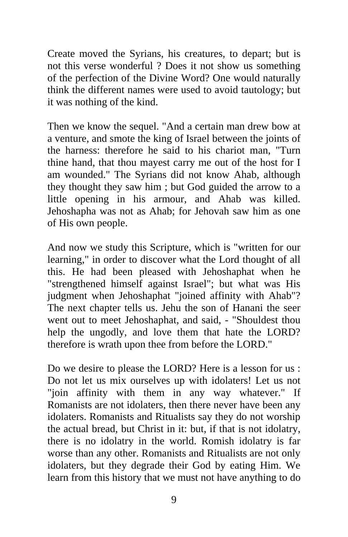Create moved the Syrians, his creatures, to depart; but is not this verse wonderful ? Does it not show us something of the perfection of the Divine Word? One would naturally think the different names were used to avoid tautology; but it was nothing of the kind.

Then we know the sequel. "And a certain man drew bow at a venture, and smote the king of Israel between the joints of the harness: therefore he said to his chariot man, "Turn thine hand, that thou mayest carry me out of the host for I am wounded." The Syrians did not know Ahab, although they thought they saw him ; but God guided the arrow to a little opening in his armour, and Ahab was killed. Jehoshapha was not as Ahab; for Jehovah saw him as one of His own people.

And now we study this Scripture, which is "written for our learning," in order to discover what the Lord thought of all this. He had been pleased with Jehoshaphat when he "strengthened himself against Israel"; but what was His judgment when Jehoshaphat "joined affinity with Ahab"? The next chapter tells us. Jehu the son of Hanani the seer went out to meet Jehoshaphat, and said, - "Shouldest thou help the ungodly, and love them that hate the LORD? therefore is wrath upon thee from before the LORD."

Do we desire to please the LORD? Here is a lesson for us : Do not let us mix ourselves up with idolaters! Let us not "join affinity with them in any way whatever." If Romanists are not idolaters, then there never have been any idolaters. Romanists and Ritualists say they do not worship the actual bread, but Christ in it: but, if that is not idolatry, there is no idolatry in the world. Romish idolatry is far worse than any other. Romanists and Ritualists are not only idolaters, but they degrade their God by eating Him. We learn from this history that we must not have anything to do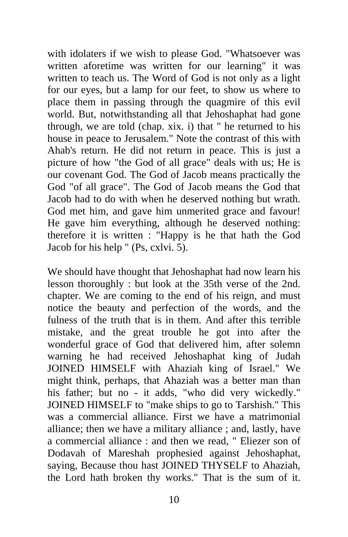with idolaters if we wish to please God. "Whatsoever was written aforetime was written for our learning" it was written to teach us. The Word of God is not only as a light for our eyes, but a lamp for our feet, to show us where to place them in passing through the quagmire of this evil world. But, notwithstanding all that Jehoshaphat had gone through, we are told (chap. xix. i) that " he returned to his house in peace to Jerusalem." Note the contrast of this with Ahab's return. He did not return in peace. This is just a picture of how "the God of all grace" deals with us; He is our covenant God. The God of Jacob means practically the God "of all grace". The God of Jacob means the God that Jacob had to do with when he deserved nothing but wrath. God met him, and gave him unmerited grace and favour! He gave him everything, although he deserved nothing: therefore it is written : "Happy is he that hath the God Jacob for his help " (Ps, cxlvi. 5).

We should have thought that Jehoshaphat had now learn his lesson thoroughly : but look at the 35th verse of the 2nd. chapter. We are coming to the end of his reign, and must notice the beauty and perfection of the words, and the fulness of the truth that is in them. And after this terrible mistake, and the great trouble he got into after the wonderful grace of God that delivered him, after solemn warning he had received Jehoshaphat king of Judah JOINED HIMSELF with Ahaziah king of Israel." We might think, perhaps, that Ahaziah was a better man than his father; but no - it adds, "who did very wickedly." JOINED HIMSELF to "make ships to go to Tarshish." This was a commercial alliance. First we have a matrimonial alliance; then we have a military alliance ; and, lastly, have a commercial alliance : and then we read, " Eliezer son of Dodavah of Mareshah prophesied against Jehoshaphat, saying, Because thou hast JOINED THYSELF to Ahaziah, the Lord hath broken thy works." That is the sum of it.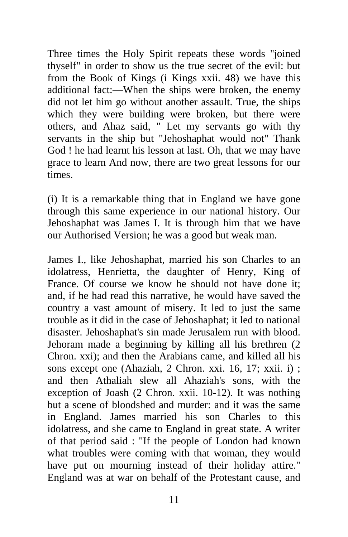Three times the Holy Spirit repeats these words ''joined thyself" in order to show us the true secret of the evil: but from the Book of Kings (i Kings xxii. 48) we have this additional fact:—When the ships were broken, the enemy did not let him go without another assault. True, the ships which they were building were broken, but there were others, and Ahaz said, " Let my servants go with thy servants in the ship but "Jehoshaphat would not" Thank God ! he had learnt his lesson at last. Oh, that we may have grace to learn And now, there are two great lessons for our times.

(i) It is a remarkable thing that in England we have gone through this same experience in our national history. Our Jehoshaphat was James I. It is through him that we have our Authorised Version; he was a good but weak man.

James I., like Jehoshaphat, married his son Charles to an idolatress, Henrietta, the daughter of Henry, King of France. Of course we know he should not have done it; and, if he had read this narrative, he would have saved the country a vast amount of misery. It led to just the same trouble as it did in the case of Jehoshaphat; it led to national disaster. Jehoshaphat's sin made Jerusalem run with blood. Jehoram made a beginning by killing all his brethren (2 Chron. xxi); and then the Arabians came, and killed all his sons except one (Ahaziah, 2 Chron. xxi. 16, 17; xxii. i) ; and then Athaliah slew all Ahaziah's sons, with the exception of Joash (2 Chron. xxii. 10-12). It was nothing but a scene of bloodshed and murder: and it was the same in England. James married his son Charles to this idolatress, and she came to England in great state. A writer of that period said : "If the people of London had known what troubles were coming with that woman, they would have put on mourning instead of their holiday attire." England was at war on behalf of the Protestant cause, and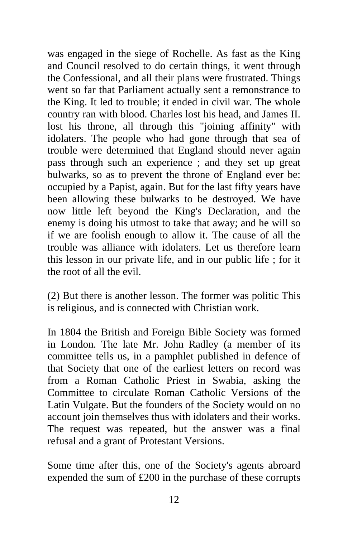was engaged in the siege of Rochelle. As fast as the King and Council resolved to do certain things, it went through the Confessional, and all their plans were frustrated. Things went so far that Parliament actually sent a remonstrance to the King. It led to trouble; it ended in civil war. The whole country ran with blood. Charles lost his head, and James II. lost his throne, all through this "joining affinity" with idolaters. The people who had gone through that sea of trouble were determined that England should never again pass through such an experience ; and they set up great bulwarks, so as to prevent the throne of England ever be: occupied by a Papist, again. But for the last fifty years have been allowing these bulwarks to be destroyed. We have now little left beyond the King's Declaration, and the enemy is doing his utmost to take that away; and he will so if we are foolish enough to allow it. The cause of all the trouble was alliance with idolaters. Let us therefore learn this lesson in our private life, and in our public life ; for it the root of all the evil.

(2) But there is another lesson. The former was politic This is religious, and is connected with Christian work.

In 1804 the British and Foreign Bible Society was formed in London. The late Mr. John Radley (a member of its committee tells us, in a pamphlet published in defence of that Society that one of the earliest letters on record was from a Roman Catholic Priest in Swabia, asking the Committee to circulate Roman Catholic Versions of the Latin Vulgate. But the founders of the Society would on no account join themselves thus with idolaters and their works. The request was repeated, but the answer was a final refusal and a grant of Protestant Versions.

Some time after this, one of the Society's agents abroard expended the sum of £200 in the purchase of these corrupts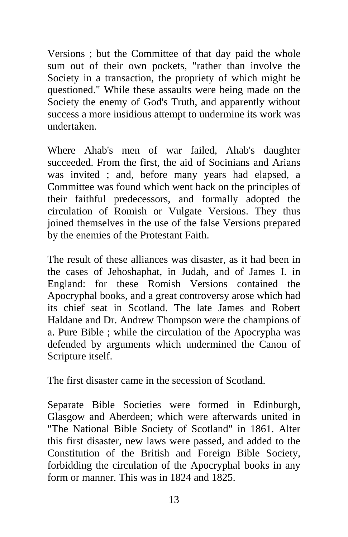Versions ; but the Committee of that day paid the whole sum out of their own pockets, "rather than involve the Society in a transaction, the propriety of which might be questioned." While these assaults were being made on the Society the enemy of God's Truth, and apparently without success a more insidious attempt to undermine its work was undertaken.

Where Ahab's men of war failed, Ahab's daughter succeeded. From the first, the aid of Socinians and Arians was invited ; and, before many years had elapsed, a Committee was found which went back on the principles of their faithful predecessors, and formally adopted the circulation of Romish or Vulgate Versions. They thus joined themselves in the use of the false Versions prepared by the enemies of the Protestant Faith.

The result of these alliances was disaster, as it had been in the cases of Jehoshaphat, in Judah, and of James I. in England: for these Romish Versions contained the Apocryphal books, and a great controversy arose which had its chief seat in Scotland. The late James and Robert Haldane and Dr. Andrew Thompson were the champions of a. Pure Bible ; while the circulation of the Apocrypha was defended by arguments which undermined the Canon of Scripture itself.

The first disaster came in the secession of Scotland.

Separate Bible Societies were formed in Edinburgh, Glasgow and Aberdeen; which were afterwards united in "The National Bible Society of Scotland" in 1861. Alter this first disaster, new laws were passed, and added to the Constitution of the British and Foreign Bible Society, forbidding the circulation of the Apocryphal books in any form or manner. This was in 1824 and 1825.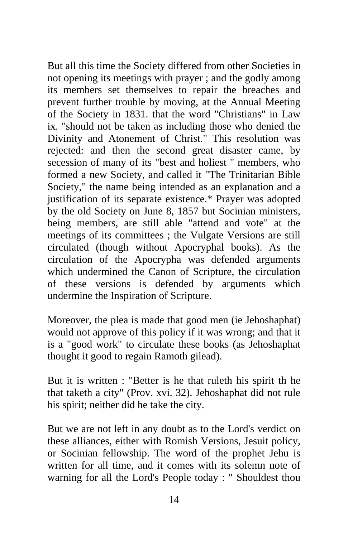But all this time the Society differed from other Societies in not opening its meetings with prayer ; and the godly among its members set themselves to repair the breaches and prevent further trouble by moving, at the Annual Meeting of the Society in 1831. that the word "Christians" in Law ix. "should not be taken as including those who denied the Divinity and Atonement of Christ." This resolution was rejected: and then the second great disaster came, by secession of many of its "best and holiest " members, who formed a new Society, and called it "The Trinitarian Bible Society," the name being intended as an explanation and a justification of its separate existence.\* Prayer was adopted by the old Society on June 8, 1857 but Socinian ministers, being members, are still able "attend and vote" at the meetings of its committees ; the Vulgate Versions are still circulated (though without Apocryphal books). As the circulation of the Apocrypha was defended arguments which undermined the Canon of Scripture, the circulation of these versions is defended by arguments which undermine the Inspiration of Scripture.

Moreover, the plea is made that good men (ie Jehoshaphat) would not approve of this policy if it was wrong; and that it is a "good work" to circulate these books (as Jehoshaphat thought it good to regain Ramoth gilead).

But it is written : "Better is he that ruleth his spirit th he that taketh a city" (Prov. xvi. 32). Jehoshaphat did not rule his spirit; neither did he take the city.

But we are not left in any doubt as to the Lord's verdict on these alliances, either with Romish Versions, Jesuit policy, or Socinian fellowship. The word of the prophet Jehu is written for all time, and it comes with its solemn note of warning for all the Lord's People today : " Shouldest thou